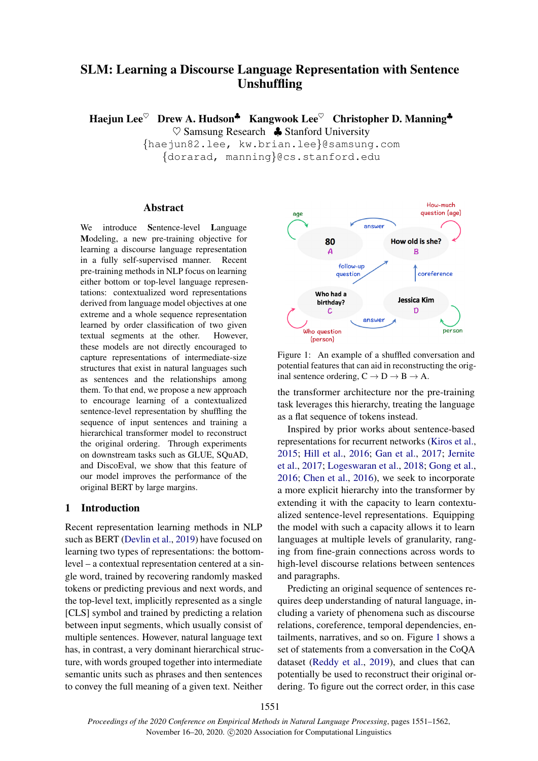# SLM: Learning a Discourse Language Representation with Sentence Unshuffling

Haejun Lee<sup> $\heartsuit$ </sup> Drew A. Hudson<sup>\$</sup> Kangwook Lee<sup> $\heartsuit$ </sup> Christopher D. Manning<sup>\$</sup>  $\heartsuit$  Samsung Research  $\clubsuit$  Stanford University

> {haejun82.lee, kw.brian.lee}@samsung.com {dorarad, manning}@cs.stanford.edu

# Abstract

We introduce Sentence-level Language Modeling, a new pre-training objective for learning a discourse language representation in a fully self-supervised manner. Recent pre-training methods in NLP focus on learning either bottom or top-level language representations: contextualized word representations derived from language model objectives at one extreme and a whole sequence representation learned by order classification of two given textual segments at the other. However, these models are not directly encouraged to capture representations of intermediate-size structures that exist in natural languages such as sentences and the relationships among them. To that end, we propose a new approach to encourage learning of a contextualized sentence-level representation by shuffling the sequence of input sentences and training a hierarchical transformer model to reconstruct the original ordering. Through experiments on downstream tasks such as GLUE, SQuAD, and DiscoEval, we show that this feature of our model improves the performance of the original BERT by large margins.

# 1 Introduction

Recent representation learning methods in NLP such as BERT [\(Devlin et al.,](#page-9-0) [2019\)](#page-9-0) have focused on learning two types of representations: the bottomlevel – a contextual representation centered at a single word, trained by recovering randomly masked tokens or predicting previous and next words, and the top-level text, implicitly represented as a single [CLS] symbol and trained by predicting a relation between input segments, which usually consist of multiple sentences. However, natural language text has, in contrast, a very dominant hierarchical structure, with words grouped together into intermediate semantic units such as phrases and then sentences to convey the full meaning of a given text. Neither

<span id="page-0-0"></span>

Figure 1: An example of a shuffled conversation and potential features that can aid in reconstructing the original sentence ordering,  $C \rightarrow D \rightarrow B \rightarrow A$ .

the transformer architecture nor the pre-training task leverages this hierarchy, treating the language as a flat sequence of tokens instead.

Inspired by prior works about sentence-based representations for recurrent networks [\(Kiros et al.,](#page-9-1) [2015;](#page-9-1) [Hill et al.,](#page-9-2) [2016;](#page-9-2) [Gan et al.,](#page-9-3) [2017;](#page-9-3) [Jernite](#page-9-4) [et al.,](#page-9-4) [2017;](#page-9-4) [Logeswaran et al.,](#page-9-5) [2018;](#page-9-5) [Gong et al.,](#page-9-6) [2016;](#page-9-6) [Chen et al.,](#page-9-7) [2016\)](#page-9-7), we seek to incorporate a more explicit hierarchy into the transformer by extending it with the capacity to learn contextualized sentence-level representations. Equipping the model with such a capacity allows it to learn languages at multiple levels of granularity, ranging from fine-grain connections across words to high-level discourse relations between sentences and paragraphs.

Predicting an original sequence of sentences requires deep understanding of natural language, including a variety of phenomena such as discourse relations, coreference, temporal dependencies, entailments, narratives, and so on. Figure [1](#page-0-0) shows a set of statements from a conversation in the CoQA dataset [\(Reddy et al.,](#page-9-8) [2019\)](#page-9-8), and clues that can potentially be used to reconstruct their original ordering. To figure out the correct order, in this case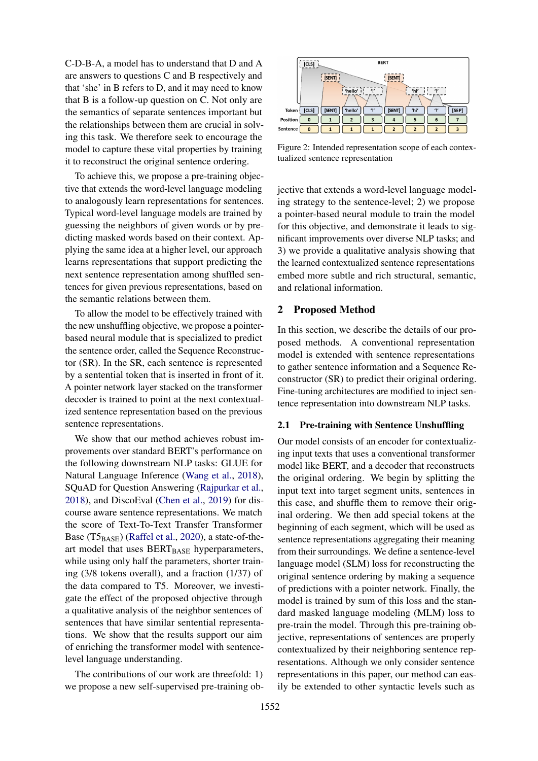C-D-B-A, a model has to understand that D and A are answers to questions C and B respectively and that 'she' in B refers to D, and it may need to know that B is a follow-up question on C. Not only are the semantics of separate sentences important but the relationships between them are crucial in solving this task. We therefore seek to encourage the model to capture these vital properties by training it to reconstruct the original sentence ordering.

To achieve this, we propose a pre-training objective that extends the word-level language modeling to analogously learn representations for sentences. Typical word-level language models are trained by guessing the neighbors of given words or by predicting masked words based on their context. Applying the same idea at a higher level, our approach learns representations that support predicting the next sentence representation among shuffled sentences for given previous representations, based on the semantic relations between them.

To allow the model to be effectively trained with the new unshuffling objective, we propose a pointerbased neural module that is specialized to predict the sentence order, called the Sequence Reconstructor (SR). In the SR, each sentence is represented by a sentential token that is inserted in front of it. A pointer network layer stacked on the transformer decoder is trained to point at the next contextualized sentence representation based on the previous sentence representations.

We show that our method achieves robust improvements over standard BERT's performance on the following downstream NLP tasks: GLUE for Natural Language Inference [\(Wang et al.,](#page-10-0) [2018\)](#page-10-0), SQuAD for Question Answering [\(Rajpurkar et al.,](#page-9-9) [2018\)](#page-9-9), and DiscoEval [\(Chen et al.,](#page-9-10) [2019\)](#page-9-10) for discourse aware sentence representations. We match the score of Text-To-Text Transfer Transformer Base  $(T5_{BASE})$  [\(Raffel et al.,](#page-9-11) [2020\)](#page-9-11), a state-of-theart model that uses  $BERT_{BASE}$  hyperparameters, while using only half the parameters, shorter training (3/8 tokens overall), and a fraction (1/37) of the data compared to T5. Moreover, we investigate the effect of the proposed objective through a qualitative analysis of the neighbor sentences of sentences that have similar sentential representations. We show that the results support our aim of enriching the transformer model with sentencelevel language understanding.

The contributions of our work are threefold: 1) we propose a new self-supervised pre-training ob-

<span id="page-1-0"></span>

Figure 2: Intended representation scope of each contextualized sentence representation

jective that extends a word-level language modeling strategy to the sentence-level; 2) we propose a pointer-based neural module to train the model for this objective, and demonstrate it leads to significant improvements over diverse NLP tasks; and 3) we provide a qualitative analysis showing that the learned contextualized sentence representations embed more subtle and rich structural, semantic, and relational information.

# 2 Proposed Method

In this section, we describe the details of our proposed methods. A conventional representation model is extended with sentence representations to gather sentence information and a Sequence Reconstructor (SR) to predict their original ordering. Fine-tuning architectures are modified to inject sentence representation into downstream NLP tasks.

#### 2.1 Pre-training with Sentence Unshuffling

Our model consists of an encoder for contextualizing input texts that uses a conventional transformer model like BERT, and a decoder that reconstructs the original ordering. We begin by splitting the input text into target segment units, sentences in this case, and shuffle them to remove their original ordering. We then add special tokens at the beginning of each segment, which will be used as sentence representations aggregating their meaning from their surroundings. We define a sentence-level language model (SLM) loss for reconstructing the original sentence ordering by making a sequence of predictions with a pointer network. Finally, the model is trained by sum of this loss and the standard masked language modeling (MLM) loss to pre-train the model. Through this pre-training objective, representations of sentences are properly contextualized by their neighboring sentence representations. Although we only consider sentence representations in this paper, our method can easily be extended to other syntactic levels such as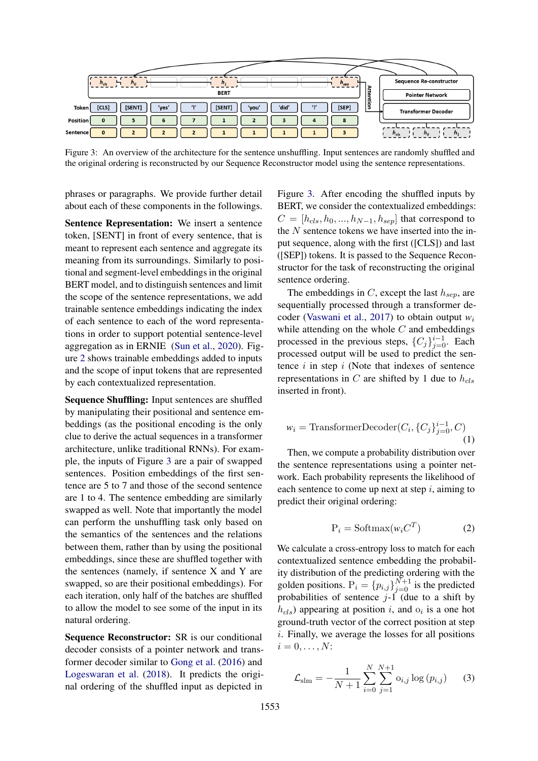<span id="page-2-0"></span>

Figure 3: An overview of the architecture for the sentence unshuffling. Input sentences are randomly shuffled and the original ordering is reconstructed by our Sequence Reconstructor model using the sentence representations.

phrases or paragraphs. We provide further detail about each of these components in the followings.

Sentence Representation: We insert a sentence token, [SENT] in front of every sentence, that is meant to represent each sentence and aggregate its meaning from its surroundings. Similarly to positional and segment-level embeddings in the original BERT model, and to distinguish sentences and limit the scope of the sentence representations, we add trainable sentence embeddings indicating the index of each sentence to each of the word representations in order to support potential sentence-level aggregation as in ERNIE [\(Sun et al.,](#page-10-1) [2020\)](#page-10-1). Figure [2](#page-1-0) shows trainable embeddings added to inputs and the scope of input tokens that are represented by each contextualized representation.

Sequence Shuffling: Input sentences are shuffled by manipulating their positional and sentence embeddings (as the positional encoding is the only clue to derive the actual sequences in a transformer architecture, unlike traditional RNNs). For example, the inputs of Figure [3](#page-2-0) are a pair of swapped sentences. Position embeddings of the first sentence are 5 to 7 and those of the second sentence are 1 to 4. The sentence embedding are similarly swapped as well. Note that importantly the model can perform the unshuffling task only based on the semantics of the sentences and the relations between them, rather than by using the positional embeddings, since these are shuffled together with the sentences (namely, if sentence X and Y are swapped, so are their positional embeddings). For each iteration, only half of the batches are shuffled to allow the model to see some of the input in its natural ordering.

Sequence Reconstructor: SR is our conditional decoder consists of a pointer network and transformer decoder similar to [Gong et al.](#page-9-6) [\(2016\)](#page-9-6) and [Logeswaran et al.](#page-9-5) [\(2018\)](#page-9-5). It predicts the original ordering of the shuffled input as depicted in

Figure [3.](#page-2-0) After encoding the shuffled inputs by BERT, we consider the contextualized embeddings:  $C = [h_{cls}, h_0, ..., h_{N-1}, h_{sep}]$  that correspond to the  $N$  sentence tokens we have inserted into the input sequence, along with the first ([CLS]) and last ([SEP]) tokens. It is passed to the Sequence Reconstructor for the task of reconstructing the original sentence ordering.

The embeddings in C, except the last  $h_{sep}$ , are sequentially processed through a transformer decoder [\(Vaswani et al.,](#page-10-2) [2017\)](#page-10-2) to obtain output *w*<sup>i</sup> while attending on the whole  $C$  and embeddings processed in the previous steps,  ${C_j}_{j=0}^{i-1}$ . Each processed output will be used to predict the sentence  $i$  in step  $i$  (Note that indexes of sentence representations in C are shifted by 1 due to  $h_{cls}$ inserted in front).

$$
w_i = \text{TransformerDecoder}(C_i, \{C_j\}_{j=0}^{i-1}, C)
$$
\n(1)

Then, we compute a probability distribution over the sentence representations using a pointer network. Each probability represents the likelihood of each sentence to come up next at step  $i$ , aiming to predict their original ordering:

$$
P_i = \text{Softmax}(w_i C^T) \tag{2}
$$

We calculate a cross-entropy loss to match for each contextualized sentence embedding the probability distribution of the predicting ordering with the golden positions.  $P_i = \{p_{i,j}\}_{j=0}^{N+1}$  is the predicted probabilities of sentence  $j-1$  (due to a shift by  $h_{cls}$ ) appearing at position i, and  $o_i$  is a one hot ground-truth vector of the correct position at step i. Finally, we average the losses for all positions  $i=0,\ldots,N$ :

$$
\mathcal{L}_{\text{slm}} = -\frac{1}{N+1} \sum_{i=0}^{N} \sum_{j=1}^{N+1} o_{i,j} \log (p_{i,j}) \qquad (3)
$$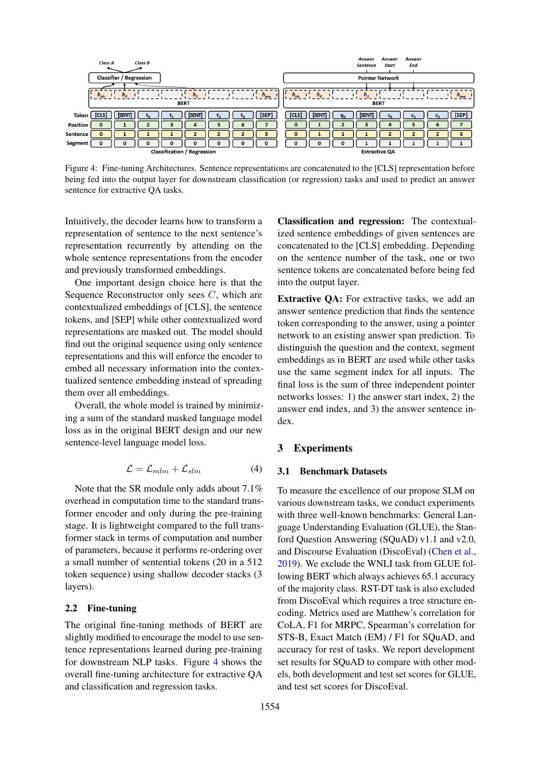<span id="page-3-0"></span>

|          | Class A   |                                | Class B                 |                                    |   |   |           |           |              |    | Answer<br>Sentence | Answer                 | Start | <b>Answer</b><br>End |   |           |
|----------|-----------|--------------------------------|-------------------------|------------------------------------|---|---|-----------|-----------|--------------|----|--------------------|------------------------|-------|----------------------|---|-----------|
|          |           | <b>Classifier / Regression</b> |                         |                                    |   |   |           |           |              |    |                    | <b>Pointer Network</b> |       |                      |   |           |
|          | $h_{cls}$ | $h_{\alpha}$                   | Francisco (1999) - 1999 | $n_{1}$<br><b>BERT</b>             |   |   | $h_{sep}$ | $h_{cls}$ | $h_{\alpha}$ |    | h <sub>1</sub>     | <b>BERT</b>            |       |                      |   | $h_{sep}$ |
| Token    | [CLS]     | [SENT]                         |                         | [SENT]                             |   |   | [SEP]     | [CLS]     | [SENT]       | q, | [SENT]             |                        |       |                      |   | [SEP]     |
| Position | $\Omega$  |                                |                         | 4                                  | 5 | ь |           | 0         |              |    | з                  |                        |       | 5                    | 6 |           |
| Sentence |           |                                |                         |                                    |   |   | з         | $\bf{0}$  |              |    |                    |                        |       |                      |   |           |
| Segment  |           |                                |                         |                                    |   | 0 | 0         | 0         | 0            | o  |                    |                        |       |                      |   |           |
|          |           |                                |                         | <b>Classification / Regression</b> |   |   |           |           |              |    |                    | <b>Extractive QA</b>   |       |                      |   |           |

Figure 4: Fine-tuning Architectures. Sentence representations are concatenated to the [CLS] representation before being fed into the output layer for downstream classification (or regression) tasks and used to predict an answer sentence for extractive QA tasks.

Intuitively, the decoder learns how to transform a representation of sentence to the next sentence's representation recurrently by attending on the whole sentence representations from the encoder and previously transformed embeddings.

One important design choice here is that the Sequence Reconstructor only sees C, which are contextualized embeddings of [CLS], the sentence tokens, and [SEP] while other contextualized word representations are masked out. The model should find out the original sequence using only sentence representations and this will enforce the encoder to embed all necessary information into the contextualized sentence embedding instead of spreading them over all embeddings.

Overall, the whole model is trained by minimizing a sum of the standard masked language model loss as in the original BERT design and our new sentence-level language model loss.

$$
\mathcal{L} = \mathcal{L}_{mlm} + \mathcal{L}_{slm} \tag{4}
$$

Note that the SR module only adds about 7.1% overhead in computation time to the standard transformer encoder and only during the pre-training stage. It is lightweight compared to the full transformer stack in terms of computation and number of parameters, because it performs re-ordering over a small number of sentential tokens (20 in a 512 token sequence) using shallow decoder stacks (3 layers).

# 2.2 Fine-tuning

The original fine-tuning methods of BERT are slightly modified to encourage the model to use sentence representations learned during pre-training for downstream NLP tasks. Figure [4](#page-3-0) shows the overall fine-tuning architecture for extractive QA and classification and regression tasks.

Classification and regression: The contextualized sentence embeddings of given sentences are concatenated to the [CLS] embedding. Depending on the sentence number of the task, one or two sentence tokens are concatenated before being fed into the output layer.

Extractive QA: For extractive tasks, we add an answer sentence prediction that finds the sentence token corresponding to the answer, using a pointer network to an existing answer span prediction. To distinguish the question and the context, segment embeddings as in BERT are used while other tasks use the same segment index for all inputs. The final loss is the sum of three independent pointer networks losses: 1) the answer start index, 2) the answer end index, and 3) the answer sentence index.

## 3 Experiments

#### 3.1 Benchmark Datasets

To measure the excellence of our propose SLM on various downstream tasks, we conduct experiments with three well-known benchmarks: General Language Understanding Evaluation (GLUE), the Stanford Question Answering (SQuAD) v1.1 and v2.0, and Discourse Evaluation (DiscoEval) [\(Chen et al.,](#page-9-10) [2019\)](#page-9-10). We exclude the WNLI task from GLUE following BERT which always achieves 65.1 accuracy of the majority class. RST-DT task is also excluded from DiscoEval which requires a tree structure encoding. Metrics used are Matthew's correlation for CoLA, F1 for MRPC, Spearman's correlation for STS-B, Exact Match (EM) / F1 for SQuAD, and accuracy for rest of tasks. We report development set results for SQuAD to compare with other models, both development and test set scores for GLUE, and test set scores for DiscoEval.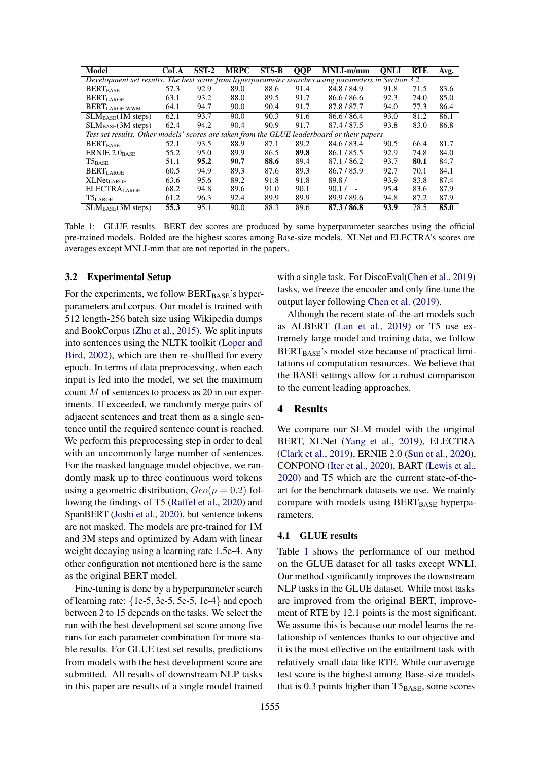<span id="page-4-1"></span>

| Model                                                                                                 | CoLA | $SST-2$ | <b>MRPC</b> | $STS-B$ | <b>QQP</b> | $\overline{\text{MNL}}$ -m/mm | <b>ONLI</b> | <b>RTE</b> | Avg. |
|-------------------------------------------------------------------------------------------------------|------|---------|-------------|---------|------------|-------------------------------|-------------|------------|------|
| Development set results. The best score from hyperparameter searches using parameters in Section 3.2. |      |         |             |         |            |                               |             |            |      |
| <b>BERT</b> <sub>BASE</sub>                                                                           | 57.3 | 92.9    | 89.0        | 88.6    | 91.4       | 84.8 / 84.9                   | 91.8        | 71.5       | 83.6 |
| BERTLARGE                                                                                             | 63.1 | 93.2    | 88.0        | 89.5    | 91.7       | 86.6/86.6                     | 92.3        | 74.0       | 85.0 |
| $\text{BERT}_{\text{LARGE-WWM}}$                                                                      | 64.1 | 94.7    | 90.0        | 90.4    | 91.7       | 87.8/87.7                     | 94.0        | 77.3       | 86.4 |
| $SLM_{BASE}(1M$ steps)                                                                                | 62.1 | 93.7    | 90.0        | 90.3    | 91.6       | 86.6/86.4                     | 93.0        | 81.2       | 86.1 |
| $SLM_{BASE}(3M$ steps)                                                                                | 62.4 | 94.2    | 90.4        | 90.9    | 91.7       | 87.4 / 87.5                   | 93.8        | 83.0       | 86.8 |
| Test set results. Other models' scores are taken from the GLUE leaderboard or their papers            |      |         |             |         |            |                               |             |            |      |
| <b>BERT</b> <sub>BASE</sub>                                                                           | 52.1 | 93.5    | 88.9        | 87.1    | 89.2       | 84.6 / 83.4                   | 90.5        | 66.4       | 81.7 |
| ERNIE $2.0_{BASE}$                                                                                    | 55.2 | 95.0    | 89.9        | 86.5    | 89.8       | 86.1/85.5                     | 92.9        | 74.8       | 84.0 |
| $T5_{BASE}$                                                                                           | 51.1 | 95.2    | 90.7        | 88.6    | 89.4       | 87.1/86.2                     | 93.7        | 80.1       | 84.7 |
| <b>BERTLARGE</b>                                                                                      | 60.5 | 94.9    | 89.3        | 87.6    | 89.3       | 86.7/85.9                     | 92.7        | 70.1       | 84.1 |
| <b>XLNet</b> LARGE                                                                                    | 63.6 | 95.6    | 89.2        | 91.8    | 91.8       | $89.8/ -$                     | 93.9        | 83.8       | 87.4 |
| <b>ELECTRALARGE</b>                                                                                   | 68.2 | 94.8    | 89.6        | 91.0    | 90.1       | 90.1 /<br>$\sim$              | 95.4        | 83.6       | 87.9 |
| $T5_{\rm LARGE}$                                                                                      | 61.2 | 96.3    | 92.4        | 89.9    | 89.9       | 89.9 / 89.6                   | 94.8        | 87.2       | 87.9 |
| SLM <sub>BASE</sub> (3M steps)                                                                        | 55.3 | 95.1    | 90.0        | 88.3    | 89.6       | 87.3/86.8                     | 93.9        | 78.5       | 85.0 |

Table 1: GLUE results. BERT dev scores are produced by same hyperparameter searches using the official pre-trained models. Bolded are the highest scores among Base-size models. XLNet and ELECTRA's scores are averages except MNLI-mm that are not reported in the papers.

#### <span id="page-4-0"></span>3.2 Experimental Setup

For the experiments, we follow  $BERT_{BASE}$ 's hyperparameters and corpus. Our model is trained with 512 length-256 batch size using Wikipedia dumps and BookCorpus [\(Zhu et al.,](#page-10-3) [2015\)](#page-10-3). We split inputs into sentences using the NLTK toolkit [\(Loper and](#page-9-12) [Bird,](#page-9-12) [2002\)](#page-9-12), which are then re-shuffled for every epoch. In terms of data preprocessing, when each input is fed into the model, we set the maximum count M of sentences to process as 20 in our experiments. If exceeded, we randomly merge pairs of adjacent sentences and treat them as a single sentence until the required sentence count is reached. We perform this preprocessing step in order to deal with an uncommonly large number of sentences. For the masked language model objective, we randomly mask up to three continuous word tokens using a geometric distribution,  $Geo(p = 0.2)$  following the findings of T5 [\(Raffel et al.,](#page-9-11) [2020\)](#page-9-11) and SpanBERT [\(Joshi et al.,](#page-9-13) [2020\)](#page-9-13), but sentence tokens are not masked. The models are pre-trained for 1M and 3M steps and optimized by Adam with linear weight decaying using a learning rate 1.5e-4. Any other configuration not mentioned here is the same as the original BERT model.

Fine-tuning is done by a hyperparameter search of learning rate:  $\{1e-5, 3e-5, 5e-5, 1e-4\}$  and epoch between 2 to 15 depends on the tasks. We select the run with the best development set score among five runs for each parameter combination for more stable results. For GLUE test set results, predictions from models with the best development score are submitted. All results of downstream NLP tasks in this paper are results of a single model trained

with a single task. For DiscoEval[\(Chen et al.,](#page-9-10) [2019\)](#page-9-10) tasks, we freeze the encoder and only fine-tune the output layer following [Chen et al.](#page-9-10) [\(2019\)](#page-9-10).

Although the recent state-of-the-art models such as ALBERT [\(Lan et al.,](#page-9-14) [2019\)](#page-9-14) or T5 use extremely large model and training data, we follow  $BERT_{BASE}$ 's model size because of practical limitations of computation resources. We believe that the BASE settings allow for a robust comparison to the current leading approaches.

# 4 Results

We compare our SLM model with the original BERT, XLNet [\(Yang et al.,](#page-10-4) [2019\)](#page-10-4), ELECTRA [\(Clark et al.,](#page-9-15) [2019\)](#page-9-15), ERNIE 2.0 [\(Sun et al.,](#page-10-1) [2020\)](#page-10-1), CONPONO [\(Iter et al.,](#page-9-16) [2020\)](#page-9-16), BART [\(Lewis et al.,](#page-9-17) [2020\)](#page-9-17) and T5 which are the current state-of-theart for the benchmark datasets we use. We mainly compare with models using  $BERT_{BASE}$  hyperparameters.

## 4.1 GLUE results

Table [1](#page-4-1) shows the performance of our method on the GLUE dataset for all tasks except WNLI. Our method significantly improves the downstream NLP tasks in the GLUE dataset. While most tasks are improved from the original BERT, improvement of RTE by 12.1 points is the most significant. We assume this is because our model learns the relationship of sentences thanks to our objective and it is the most effective on the entailment task with relatively small data like RTE. While our average test score is the highest among Base-size models that is 0.3 points higher than  $T5_{BASE}$ , some scores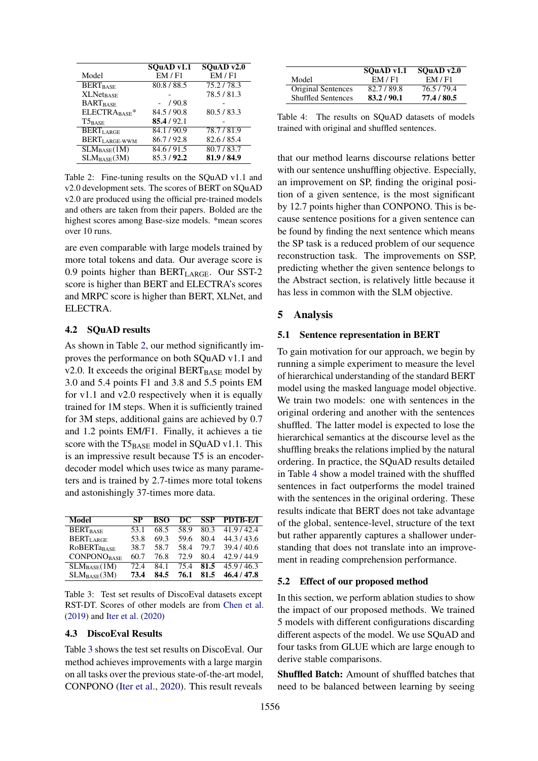<span id="page-5-0"></span>

|                             | SOuAD v1.1  | SQuAD v2.0  |
|-----------------------------|-------------|-------------|
| Model                       | EM/Fl       | EM / F1     |
| <b>BERT</b> <sub>BASE</sub> | 80.8/88.5   | 75.2/78.3   |
| <b>XLNet<sub>BASE</sub></b> |             | 78.5/81.3   |
| <b>BARTBASE</b>             | /90.8       |             |
| ELECTRABASE*                | 84.5 / 90.8 | 80.5 / 83.3 |
| $T5_{\rm BASE}$             | 85.4/92.1   |             |
| <b>BERTLARGE</b>            | 84.1/90.9   | 78.7/81.9   |
| BERT <sub>LARGE-WWM</sub>   | 86.7/92.8   | 82.6/85.4   |
| $SLM_{BASE}(1M)$            | 84.6/91.5   | 80.7/83.7   |
| $SLM_{BASE}(3M)$            | 85.3/92.2   | 81.9 / 84.9 |

Table 2: Fine-tuning results on the SQuAD v1.1 and v2.0 development sets. The scores of BERT on SQuAD v2.0 are produced using the official pre-trained models and others are taken from their papers. Bolded are the highest scores among Base-size models. \*mean scores over 10 runs.

are even comparable with large models trained by more total tokens and data. Our average score is 0.9 points higher than  $BERT_{LARGE}$ . Our SST-2 score is higher than BERT and ELECTRA's scores and MRPC score is higher than BERT, XLNet, and ELECTRA.

#### 4.2 SQuAD results

As shown in Table [2,](#page-5-0) our method significantly improves the performance on both SQuAD v1.1 and v2.0. It exceeds the original  $BERT_{BASE}$  model by 3.0 and 5.4 points F1 and 3.8 and 5.5 points EM for v1.1 and v2.0 respectively when it is equally trained for 1M steps. When it is sufficiently trained for 3M steps, additional gains are achieved by 0.7 and 1.2 points EM/F1. Finally, it achieves a tie score with the  $T5_{BASE}$  model in SQuAD v1.1. This is an impressive result because T5 is an encoderdecoder model which uses twice as many parameters and is trained by 2.7-times more total tokens and astonishingly 37-times more data.

<span id="page-5-1"></span>

| Model                       | SP   | BSO  | DC   |      | <b>SSP PDTB-E/I</b> |
|-----------------------------|------|------|------|------|---------------------|
| <b>BERT</b> <sub>BASE</sub> | 53.1 | 68.5 | 58.9 | 80.3 | 41.9/42.4           |
| <b>BERTLARGE</b>            | 53.8 | 69.3 | 59.6 | 80.4 | 44.3/43.6           |
| <b>ROBERTaBASE</b>          | 38.7 | 58.7 | 58.4 | 79.7 | 39.4/40.6           |
| <b>CONPONOBASE</b>          | 60.7 | 76.8 | 72.9 | 80.4 | 42.9/44.9           |
| $SLM_{BASE}(1M)$            | 72.4 | 84.1 | 75.4 | 81.5 | 45.9/46.3           |
| $SLM_{\rm BASE}(3M)$        | 73.4 | 84.5 | 76.1 | 81.5 | 46.4 / 47.8         |

Table 3: Test set results of DiscoEval datasets except RST-DT. Scores of other models are from [Chen et al.](#page-9-10) [\(2019\)](#page-9-10) and [Iter et al.](#page-9-16) [\(2020\)](#page-9-16)

#### 4.3 DiscoEval Results

Table [3](#page-5-1) shows the test set results on DiscoEval. Our method achieves improvements with a large margin on all tasks over the previous state-of-the-art model, CONPONO [\(Iter et al.,](#page-9-16) [2020\)](#page-9-16). This result reveals

<span id="page-5-2"></span>

|                           | $SQuAD$ v1.1 | SOuAD $v2.0$ |
|---------------------------|--------------|--------------|
| Model                     | EM/F1        | EM / F1      |
| Original Sentences        | 82.7/89.8    | 76.5/79.4    |
| <b>Shuffled Sentences</b> | 83.2/90.1    | 77.4 / 80.5  |

Table 4: The results on SOuAD datasets of models trained with original and shuffled sentences.

that our method learns discourse relations better with our sentence unshuffling objective. Especially, an improvement on SP, finding the original position of a given sentence, is the most significant by 12.7 points higher than CONPONO. This is because sentence positions for a given sentence can be found by finding the next sentence which means the SP task is a reduced problem of our sequence reconstruction task. The improvements on SSP, predicting whether the given sentence belongs to the Abstract section, is relatively little because it has less in common with the SLM objective.

#### 5 Analysis

#### 5.1 Sentence representation in BERT

To gain motivation for our approach, we begin by running a simple experiment to measure the level of hierarchical understanding of the standard BERT model using the masked language model objective. We train two models: one with sentences in the original ordering and another with the sentences shuffled. The latter model is expected to lose the hierarchical semantics at the discourse level as the shuffling breaks the relations implied by the natural ordering. In practice, the SQuAD results detailed in Table [4](#page-5-2) show a model trained with the shuffled sentences in fact outperforms the model trained with the sentences in the original ordering. These results indicate that BERT does not take advantage of the global, sentence-level, structure of the text but rather apparently captures a shallower understanding that does not translate into an improvement in reading comprehension performance.

#### 5.2 Effect of our proposed method

In this section, we perform ablation studies to show the impact of our proposed methods. We trained 5 models with different configurations discarding different aspects of the model. We use SQuAD and four tasks from GLUE which are large enough to derive stable comparisons.

Shuffled Batch: Amount of shuffled batches that need to be balanced between learning by seeing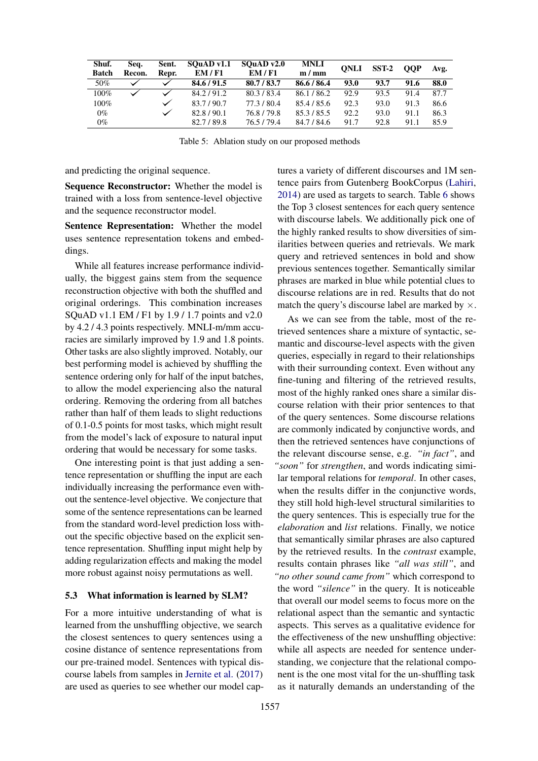| Shuf.<br><b>Batch</b> | Sea.<br>Recon. | Sent.<br>Repr. | $SQuAD$ v1.1<br>EM/F1 | SQuADv2.0<br>EM/F1 | <b>MNLI</b><br>m/mm | <b>ONLI</b> | $SST-2$ | <b>OOP</b> | Avg. |
|-----------------------|----------------|----------------|-----------------------|--------------------|---------------------|-------------|---------|------------|------|
| 50%                   |                | ✓              | 84.6 / 91.5           | 80.7/83.7          | 86.6 / 86.4         | 93.0        | 93.7    | 91.6       | 88.0 |
| $100\%$               |                |                | 84.2/91.2             | 80.3/83.4          | 86.1/86.2           | 92.9        | 93.5    | 91.4       | 87.7 |
| $100\%$               |                | $\checkmark$   | 83.7/90.7             | 77.3/80.4          | 85.4 / 85.6         | 92.3        | 93.0    | 91.3       | 86.6 |
| $0\%$                 |                |                | 82.8/90.1             | 76.8/79.8          | 85.3/85.5           | 92.2        | 93.0    | 91.1       | 86.3 |
| $0\%$                 |                |                | 82.7/89.8             | 76.5/79.4          | 84.7 / 84.6         | 91.7        | 92.8    | 91.1       | 85.9 |

Table 5: Ablation study on our proposed methods

and predicting the original sequence.

Sequence Reconstructor: Whether the model is trained with a loss from sentence-level objective and the sequence reconstructor model.

Sentence Representation: Whether the model uses sentence representation tokens and embeddings.

While all features increase performance individually, the biggest gains stem from the sequence reconstruction objective with both the shuffled and original orderings. This combination increases SQuAD v1.1 EM / F1 by 1.9 / 1.7 points and v2.0 by 4.2 / 4.3 points respectively. MNLI-m/mm accuracies are similarly improved by 1.9 and 1.8 points. Other tasks are also slightly improved. Notably, our best performing model is achieved by shuffling the sentence ordering only for half of the input batches, to allow the model experiencing also the natural ordering. Removing the ordering from all batches rather than half of them leads to slight reductions of 0.1-0.5 points for most tasks, which might result from the model's lack of exposure to natural input ordering that would be necessary for some tasks.

One interesting point is that just adding a sentence representation or shuffling the input are each individually increasing the performance even without the sentence-level objective. We conjecture that some of the sentence representations can be learned from the standard word-level prediction loss without the specific objective based on the explicit sentence representation. Shuffling input might help by adding regularization effects and making the model more robust against noisy permutations as well.

#### 5.3 What information is learned by SLM?

For a more intuitive understanding of what is learned from the unshuffling objective, we search the closest sentences to query sentences using a cosine distance of sentence representations from our pre-trained model. Sentences with typical discourse labels from samples in [Jernite et al.](#page-9-4) [\(2017\)](#page-9-4) are used as queries to see whether our model captures a variety of different discourses and 1M sentence pairs from Gutenberg BookCorpus [\(Lahiri,](#page-9-18) [2014\)](#page-9-18) are used as targets to search. Table [6](#page-7-0) shows the Top 3 closest sentences for each query sentence with discourse labels. We additionally pick one of the highly ranked results to show diversities of similarities between queries and retrievals. We mark query and retrieved sentences in bold and show previous sentences together. Semantically similar phrases are marked in blue while potential clues to discourse relations are in red. Results that do not match the query's discourse label are marked by  $\times$ .

As we can see from the table, most of the retrieved sentences share a mixture of syntactic, semantic and discourse-level aspects with the given queries, especially in regard to their relationships with their surrounding context. Even without any fine-tuning and filtering of the retrieved results, most of the highly ranked ones share a similar discourse relation with their prior sentences to that of the query sentences. Some discourse relations are commonly indicated by conjunctive words, and then the retrieved sentences have conjunctions of the relevant discourse sense, e.g. *"in fact"*, and *"soon"* for *strengthen*, and words indicating similar temporal relations for *temporal*. In other cases, when the results differ in the conjunctive words, they still hold high-level structural similarities to the query sentences. This is especially true for the *elaboration* and *list* relations. Finally, we notice that semantically similar phrases are also captured by the retrieved results. In the *contrast* example, results contain phrases like *"all was still"*, and *"no other sound came from"* which correspond to the word *"silence"* in the query. It is noticeable that overall our model seems to focus more on the relational aspect than the semantic and syntactic aspects. This serves as a qualitative evidence for the effectiveness of the new unshuffling objective: while all aspects are needed for sentence understanding, we conjecture that the relational component is the one most vital for the un-shuffling task as it naturally demands an understanding of the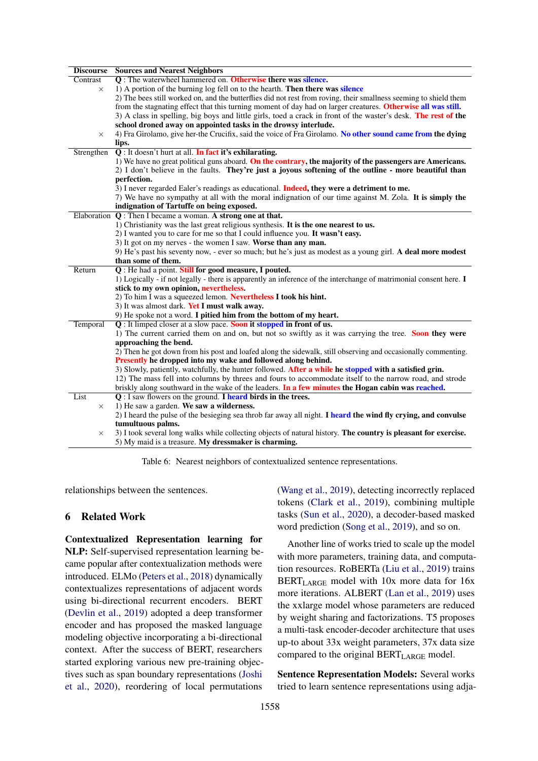<span id="page-7-0"></span>

| <b>Discourse</b> | <b>Sources and Nearest Neighbors</b>                                                                                                                                    |
|------------------|-------------------------------------------------------------------------------------------------------------------------------------------------------------------------|
| Contrast         | Q: The waterwheel hammered on. Otherwise there was silence.                                                                                                             |
| $\times$         | 1) A portion of the burning log fell on to the hearth. <b>Then there was silence</b>                                                                                    |
|                  | 2) The bees still worked on, and the butterflies did not rest from roving, their smallness seeming to shield them                                                       |
|                  | from the stagnating effect that this turning moment of day had on larger creatures. Otherwise all was still.                                                            |
|                  | 3) A class in spelling, big boys and little girls, toed a crack in front of the waster's desk. The rest of the                                                          |
|                  | school droned away on appointed tasks in the drowsy interlude.                                                                                                          |
| $\times$         | 4) Fra Girolamo, give her-the Crucifix, said the voice of Fra Girolamo. No other sound came from the dying                                                              |
|                  | lips.                                                                                                                                                                   |
| Strengthen       | Q: It doesn't hurt at all. In fact it's exhilarating.                                                                                                                   |
|                  | 1) We have no great political guns aboard. On the contrary, the majority of the passengers are Americans.                                                               |
|                  | 2) I don't believe in the faults. They're just a joyous softening of the outline - more beautiful than                                                                  |
|                  | perfection.                                                                                                                                                             |
|                  | 3) I never regarded Ealer's readings as educational. Indeed, they were a detriment to me.                                                                               |
|                  | 7) We have no sympathy at all with the moral indignation of our time against M. Zola. It is simply the                                                                  |
|                  | indignation of Tartuffe on being exposed.                                                                                                                               |
| Elaboration      | Q: Then I became a woman. A strong one at that.                                                                                                                         |
|                  | 1) Christianity was the last great religious synthesis. It is the one nearest to us.                                                                                    |
|                  | 2) I wanted you to care for me so that I could influence you. It wasn't easy.                                                                                           |
|                  | 3) It got on my nerves - the women I saw. Worse than any man.                                                                                                           |
|                  | 9) He's past his seventy now, - ever so much; but he's just as modest as a young girl. A deal more modest                                                               |
|                  | than some of them.                                                                                                                                                      |
| Return           | Q: He had a point. Still for good measure, I pouted.                                                                                                                    |
|                  | 1) Logically - if not legally - there is apparently an inference of the interchange of matrimonial consent here. I                                                      |
|                  | stick to my own opinion, nevertheless.                                                                                                                                  |
|                  | 2) To him I was a squeezed lemon. Nevertheless I took his hint.                                                                                                         |
|                  | 3) It was almost dark. Yet I must walk away.                                                                                                                            |
|                  | 9) He spoke not a word. I pitied him from the bottom of my heart.                                                                                                       |
| Temporal         | Q: It limped closer at a slow pace. Soon it stopped in front of us.                                                                                                     |
|                  | 1) The current carried them on and on, but not so swiftly as it was carrying the tree. Soon they were                                                                   |
|                  | approaching the bend.                                                                                                                                                   |
|                  | 2) Then he got down from his post and loafed along the sidewalk, still observing and occasionally commenting.                                                           |
|                  | Presently he dropped into my wake and followed along behind.                                                                                                            |
|                  | 3) Slowly, patiently, watchfully, the hunter followed. After a while he stopped with a satisfied grin.                                                                  |
|                  | 12) The mass fell into columns by threes and fours to accommodate itself to the narrow road, and strode                                                                 |
|                  | briskly along southward in the wake of the leaders. In a few minutes the Hogan cabin was reached.                                                                       |
| List             | $Q: I$ saw flowers on the ground. I heard birds in the trees.                                                                                                           |
| $\times$         | 1) He saw a garden. We saw a wilderness.                                                                                                                                |
|                  | 2) I heard the pulse of the besieging sea throb far away all night. I heard the wind fly crying, and convulse                                                           |
|                  | tumultuous palms.                                                                                                                                                       |
| X                |                                                                                                                                                                         |
|                  | 3) I took several long walks while collecting objects of natural history. The country is pleasant for exercise.<br>5) My maid is a treasure. My dressmaker is charming. |

Table 6: Nearest neighbors of contextualized sentence representations.

relationships between the sentences.

## 6 Related Work

Contextualized Representation learning for NLP: Self-supervised representation learning became popular after contextualization methods were introduced. ELMo [\(Peters et al.,](#page-9-19) [2018\)](#page-9-19) dynamically contextualizes representations of adjacent words using bi-directional recurrent encoders. BERT [\(Devlin et al.,](#page-9-0) [2019\)](#page-9-0) adopted a deep transformer encoder and has proposed the masked language modeling objective incorporating a bi-directional context. After the success of BERT, researchers started exploring various new pre-training objectives such as span boundary representations [\(Joshi](#page-9-13) [et al.,](#page-9-13) [2020\)](#page-9-13), reordering of local permutations

[\(Wang et al.,](#page-10-5) [2019\)](#page-10-5), detecting incorrectly replaced tokens [\(Clark et al.,](#page-9-15) [2019\)](#page-9-15), combining multiple tasks [\(Sun et al.,](#page-10-1) [2020\)](#page-10-1), a decoder-based masked word prediction [\(Song et al.,](#page-10-6) [2019\)](#page-10-6), and so on.

Another line of works tried to scale up the model with more parameters, training data, and computation resources. RoBERTa [\(Liu et al.,](#page-9-20) [2019\)](#page-9-20) trains BERTLARGE model with 10x more data for 16x more iterations. ALBERT [\(Lan et al.,](#page-9-14) [2019\)](#page-9-14) uses the xxlarge model whose parameters are reduced by weight sharing and factorizations. T5 proposes a multi-task encoder-decoder architecture that uses up-to about 33x weight parameters, 37x data size compared to the original BERT<sub>LARGE</sub> model.

Sentence Representation Models: Several works tried to learn sentence representations using adja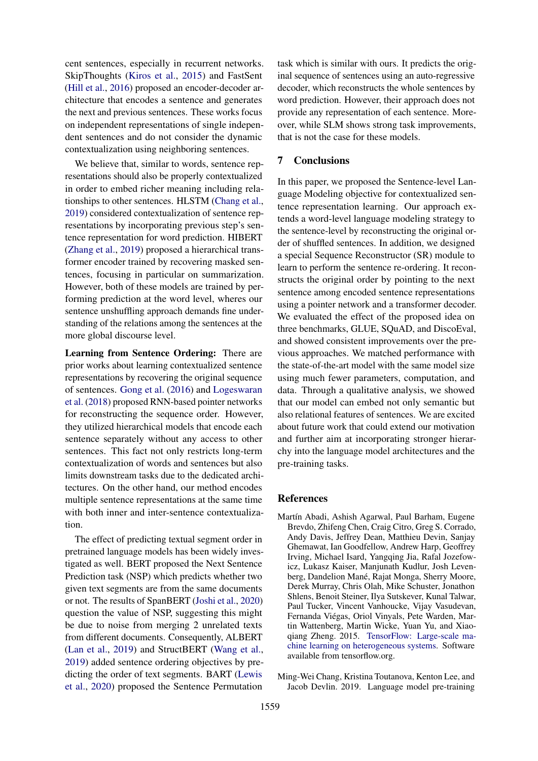cent sentences, especially in recurrent networks. SkipThoughts [\(Kiros et al.,](#page-9-1) [2015\)](#page-9-1) and FastSent [\(Hill et al.,](#page-9-2) [2016\)](#page-9-2) proposed an encoder-decoder architecture that encodes a sentence and generates the next and previous sentences. These works focus on independent representations of single independent sentences and do not consider the dynamic contextualization using neighboring sentences.

We believe that, similar to words, sentence representations should also be properly contextualized in order to embed richer meaning including relationships to other sentences. HLSTM [\(Chang et al.,](#page-8-0) [2019\)](#page-8-0) considered contextualization of sentence representations by incorporating previous step's sentence representation for word prediction. HIBERT [\(Zhang et al.,](#page-10-7) [2019\)](#page-10-7) proposed a hierarchical transformer encoder trained by recovering masked sentences, focusing in particular on summarization. However, both of these models are trained by performing prediction at the word level, wheres our sentence unshuffling approach demands fine understanding of the relations among the sentences at the more global discourse level.

Learning from Sentence Ordering: There are prior works about learning contextualized sentence representations by recovering the original sequence of sentences. [Gong et al.](#page-9-6) [\(2016\)](#page-9-6) and [Logeswaran](#page-9-5) [et al.](#page-9-5) [\(2018\)](#page-9-5) proposed RNN-based pointer networks for reconstructing the sequence order. However, they utilized hierarchical models that encode each sentence separately without any access to other sentences. This fact not only restricts long-term contextualization of words and sentences but also limits downstream tasks due to the dedicated architectures. On the other hand, our method encodes multiple sentence representations at the same time with both inner and inter-sentence contextualization.

The effect of predicting textual segment order in pretrained language models has been widely investigated as well. BERT proposed the Next Sentence Prediction task (NSP) which predicts whether two given text segments are from the same documents or not. The results of SpanBERT [\(Joshi et al.,](#page-9-13) [2020\)](#page-9-13) question the value of NSP, suggesting this might be due to noise from merging 2 unrelated texts from different documents. Consequently, ALBERT [\(Lan et al.,](#page-9-14) [2019\)](#page-9-14) and StructBERT [\(Wang et al.,](#page-10-5) [2019\)](#page-10-5) added sentence ordering objectives by predicting the order of text segments. BART [\(Lewis](#page-9-17) [et al.,](#page-9-17) [2020\)](#page-9-17) proposed the Sentence Permutation

task which is similar with ours. It predicts the original sequence of sentences using an auto-regressive decoder, which reconstructs the whole sentences by word prediction. However, their approach does not provide any representation of each sentence. Moreover, while SLM shows strong task improvements, that is not the case for these models.

# 7 Conclusions

In this paper, we proposed the Sentence-level Language Modeling objective for contextualized sentence representation learning. Our approach extends a word-level language modeling strategy to the sentence-level by reconstructing the original order of shuffled sentences. In addition, we designed a special Sequence Reconstructor (SR) module to learn to perform the sentence re-ordering. It reconstructs the original order by pointing to the next sentence among encoded sentence representations using a pointer network and a transformer decoder. We evaluated the effect of the proposed idea on three benchmarks, GLUE, SQuAD, and DiscoEval, and showed consistent improvements over the previous approaches. We matched performance with the state-of-the-art model with the same model size using much fewer parameters, computation, and data. Through a qualitative analysis, we showed that our model can embed not only semantic but also relational features of sentences. We are excited about future work that could extend our motivation and further aim at incorporating stronger hierarchy into the language model architectures and the pre-training tasks.

# References

- <span id="page-8-1"></span>Martín Abadi, Ashish Agarwal, Paul Barham, Eugene Brevdo, Zhifeng Chen, Craig Citro, Greg S. Corrado, Andy Davis, Jeffrey Dean, Matthieu Devin, Sanjay Ghemawat, Ian Goodfellow, Andrew Harp, Geoffrey Irving, Michael Isard, Yangqing Jia, Rafal Jozefowicz, Lukasz Kaiser, Manjunath Kudlur, Josh Levenberg, Dandelion Mané, Rajat Monga, Sherry Moore, Derek Murray, Chris Olah, Mike Schuster, Jonathon Shlens, Benoit Steiner, Ilya Sutskever, Kunal Talwar, Paul Tucker, Vincent Vanhoucke, Vijay Vasudevan, Fernanda Viegas, Oriol Vinyals, Pete Warden, Mar- ´ tin Wattenberg, Martin Wicke, Yuan Yu, and Xiaoqiang Zheng. 2015. [TensorFlow: Large-scale ma](https://www.tensorflow.org/)[chine learning on heterogeneous systems.](https://www.tensorflow.org/) Software available from tensorflow.org.
- <span id="page-8-0"></span>Ming-Wei Chang, Kristina Toutanova, Kenton Lee, and Jacob Devlin. 2019. Language model pre-training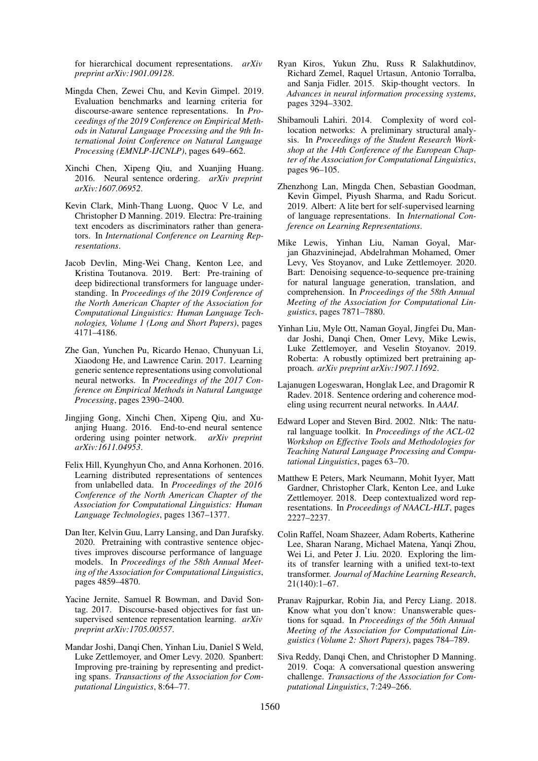for hierarchical document representations. *arXiv preprint arXiv:1901.09128*.

- <span id="page-9-10"></span>Mingda Chen, Zewei Chu, and Kevin Gimpel. 2019. Evaluation benchmarks and learning criteria for discourse-aware sentence representations. In *Proceedings of the 2019 Conference on Empirical Methods in Natural Language Processing and the 9th International Joint Conference on Natural Language Processing (EMNLP-IJCNLP)*, pages 649–662.
- <span id="page-9-7"></span>Xinchi Chen, Xipeng Qiu, and Xuanjing Huang. 2016. Neural sentence ordering. *arXiv preprint arXiv:1607.06952*.
- <span id="page-9-15"></span>Kevin Clark, Minh-Thang Luong, Quoc V Le, and Christopher D Manning. 2019. Electra: Pre-training text encoders as discriminators rather than generators. In *International Conference on Learning Representations*.
- <span id="page-9-0"></span>Jacob Devlin, Ming-Wei Chang, Kenton Lee, and Kristina Toutanova. 2019. Bert: Pre-training of deep bidirectional transformers for language understanding. In *Proceedings of the 2019 Conference of the North American Chapter of the Association for Computational Linguistics: Human Language Technologies, Volume 1 (Long and Short Papers)*, pages 4171–4186.
- <span id="page-9-3"></span>Zhe Gan, Yunchen Pu, Ricardo Henao, Chunyuan Li, Xiaodong He, and Lawrence Carin. 2017. Learning generic sentence representations using convolutional neural networks. In *Proceedings of the 2017 Conference on Empirical Methods in Natural Language Processing*, pages 2390–2400.
- <span id="page-9-6"></span>Jingjing Gong, Xinchi Chen, Xipeng Qiu, and Xuanjing Huang. 2016. End-to-end neural sentence ordering using pointer network. *arXiv preprint arXiv:1611.04953*.
- <span id="page-9-2"></span>Felix Hill, Kyunghyun Cho, and Anna Korhonen. 2016. Learning distributed representations of sentences from unlabelled data. In *Proceedings of the 2016 Conference of the North American Chapter of the Association for Computational Linguistics: Human Language Technologies*, pages 1367–1377.
- <span id="page-9-16"></span>Dan Iter, Kelvin Guu, Larry Lansing, and Dan Jurafsky. 2020. Pretraining with contrastive sentence objectives improves discourse performance of language models. In *Proceedings of the 58th Annual Meeting of the Association for Computational Linguistics*, pages 4859–4870.
- <span id="page-9-4"></span>Yacine Jernite, Samuel R Bowman, and David Sontag. 2017. Discourse-based objectives for fast unsupervised sentence representation learning. *arXiv preprint arXiv:1705.00557*.
- <span id="page-9-13"></span>Mandar Joshi, Danqi Chen, Yinhan Liu, Daniel S Weld, Luke Zettlemoyer, and Omer Levy. 2020. Spanbert: Improving pre-training by representing and predicting spans. *Transactions of the Association for Computational Linguistics*, 8:64–77.
- <span id="page-9-1"></span>Ryan Kiros, Yukun Zhu, Russ R Salakhutdinov, Richard Zemel, Raquel Urtasun, Antonio Torralba, and Sanja Fidler. 2015. Skip-thought vectors. In *Advances in neural information processing systems*, pages 3294–3302.
- <span id="page-9-18"></span>Shibamouli Lahiri. 2014. Complexity of word collocation networks: A preliminary structural analysis. In *Proceedings of the Student Research Workshop at the 14th Conference of the European Chapter of the Association for Computational Linguistics*, pages 96–105.
- <span id="page-9-14"></span>Zhenzhong Lan, Mingda Chen, Sebastian Goodman, Kevin Gimpel, Piyush Sharma, and Radu Soricut. 2019. Albert: A lite bert for self-supervised learning of language representations. In *International Conference on Learning Representations*.
- <span id="page-9-17"></span>Mike Lewis, Yinhan Liu, Naman Goyal, Marjan Ghazvininejad, Abdelrahman Mohamed, Omer Levy, Ves Stoyanov, and Luke Zettlemoyer. 2020. Bart: Denoising sequence-to-sequence pre-training for natural language generation, translation, and comprehension. In *Proceedings of the 58th Annual Meeting of the Association for Computational Linguistics*, pages 7871–7880.
- <span id="page-9-20"></span>Yinhan Liu, Myle Ott, Naman Goyal, Jingfei Du, Mandar Joshi, Danqi Chen, Omer Levy, Mike Lewis, Luke Zettlemoyer, and Veselin Stoyanov. 2019. Roberta: A robustly optimized bert pretraining approach. *arXiv preprint arXiv:1907.11692*.
- <span id="page-9-5"></span>Lajanugen Logeswaran, Honglak Lee, and Dragomir R Radev. 2018. Sentence ordering and coherence modeling using recurrent neural networks. In *AAAI*.
- <span id="page-9-12"></span>Edward Loper and Steven Bird. 2002. Nltk: The natural language toolkit. In *Proceedings of the ACL-02 Workshop on Effective Tools and Methodologies for Teaching Natural Language Processing and Computational Linguistics*, pages 63–70.
- <span id="page-9-19"></span>Matthew E Peters, Mark Neumann, Mohit Iyyer, Matt Gardner, Christopher Clark, Kenton Lee, and Luke Zettlemoyer. 2018. Deep contextualized word representations. In *Proceedings of NAACL-HLT*, pages 2227–2237.
- <span id="page-9-11"></span>Colin Raffel, Noam Shazeer, Adam Roberts, Katherine Lee, Sharan Narang, Michael Matena, Yanqi Zhou, Wei Li, and Peter J. Liu. 2020. Exploring the limits of transfer learning with a unified text-to-text transformer. *Journal of Machine Learning Research*, 21(140):1–67.
- <span id="page-9-9"></span>Pranav Rajpurkar, Robin Jia, and Percy Liang. 2018. Know what you don't know: Unanswerable questions for squad. In *Proceedings of the 56th Annual Meeting of the Association for Computational Linguistics (Volume 2: Short Papers)*, pages 784–789.
- <span id="page-9-8"></span>Siva Reddy, Danqi Chen, and Christopher D Manning. 2019. Coqa: A conversational question answering challenge. *Transactions of the Association for Computational Linguistics*, 7:249–266.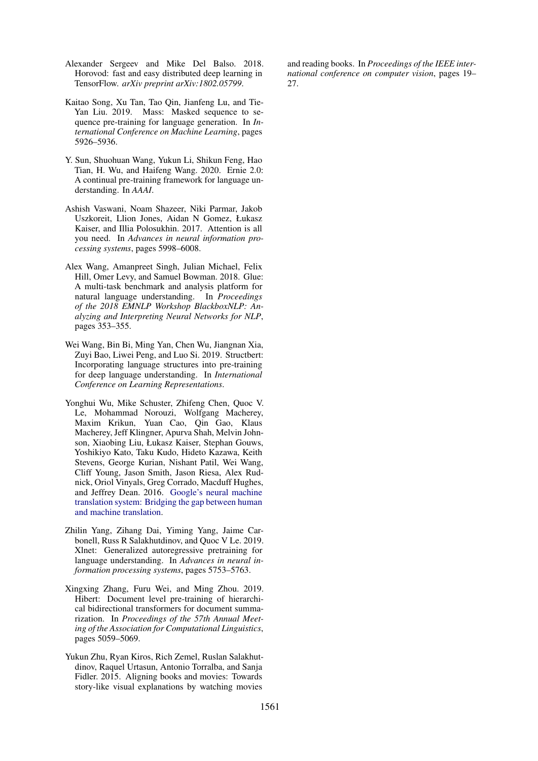- <span id="page-10-9"></span>Alexander Sergeev and Mike Del Balso. 2018. Horovod: fast and easy distributed deep learning in TensorFlow. *arXiv preprint arXiv:1802.05799*.
- <span id="page-10-6"></span>Kaitao Song, Xu Tan, Tao Qin, Jianfeng Lu, and Tie-Yan Liu. 2019. Mass: Masked sequence to sequence pre-training for language generation. In *International Conference on Machine Learning*, pages 5926–5936.
- <span id="page-10-1"></span>Y. Sun, Shuohuan Wang, Yukun Li, Shikun Feng, Hao Tian, H. Wu, and Haifeng Wang. 2020. Ernie 2.0: A continual pre-training framework for language understanding. In *AAAI*.
- <span id="page-10-2"></span>Ashish Vaswani, Noam Shazeer, Niki Parmar, Jakob Uszkoreit, Llion Jones, Aidan N Gomez, Łukasz Kaiser, and Illia Polosukhin. 2017. Attention is all you need. In *Advances in neural information processing systems*, pages 5998–6008.
- <span id="page-10-0"></span>Alex Wang, Amanpreet Singh, Julian Michael, Felix Hill, Omer Levy, and Samuel Bowman. 2018. Glue: A multi-task benchmark and analysis platform for natural language understanding. In *Proceedings of the 2018 EMNLP Workshop BlackboxNLP: Analyzing and Interpreting Neural Networks for NLP*, pages 353–355.
- <span id="page-10-5"></span>Wei Wang, Bin Bi, Ming Yan, Chen Wu, Jiangnan Xia, Zuyi Bao, Liwei Peng, and Luo Si. 2019. Structbert: Incorporating language structures into pre-training for deep language understanding. In *International Conference on Learning Representations*.
- <span id="page-10-8"></span>Yonghui Wu, Mike Schuster, Zhifeng Chen, Quoc V. Le, Mohammad Norouzi, Wolfgang Macherey, Maxim Krikun, Yuan Cao, Qin Gao, Klaus Macherey, Jeff Klingner, Apurva Shah, Melvin Johnson, Xiaobing Liu, Łukasz Kaiser, Stephan Gouws, Yoshikiyo Kato, Taku Kudo, Hideto Kazawa, Keith Stevens, George Kurian, Nishant Patil, Wei Wang, Cliff Young, Jason Smith, Jason Riesa, Alex Rudnick, Oriol Vinyals, Greg Corrado, Macduff Hughes, and Jeffrey Dean. 2016. [Google's neural machine](http://arxiv.org/abs/1609.08144) [translation system: Bridging the gap between human](http://arxiv.org/abs/1609.08144) [and machine translation.](http://arxiv.org/abs/1609.08144)
- <span id="page-10-4"></span>Zhilin Yang, Zihang Dai, Yiming Yang, Jaime Carbonell, Russ R Salakhutdinov, and Quoc V Le. 2019. Xlnet: Generalized autoregressive pretraining for language understanding. In *Advances in neural information processing systems*, pages 5753–5763.
- <span id="page-10-7"></span>Xingxing Zhang, Furu Wei, and Ming Zhou. 2019. Hibert: Document level pre-training of hierarchical bidirectional transformers for document summarization. In *Proceedings of the 57th Annual Meeting of the Association for Computational Linguistics*, pages 5059–5069.
- <span id="page-10-3"></span>Yukun Zhu, Ryan Kiros, Rich Zemel, Ruslan Salakhutdinov, Raquel Urtasun, Antonio Torralba, and Sanja Fidler. 2015. Aligning books and movies: Towards story-like visual explanations by watching movies

and reading books. In *Proceedings of the IEEE international conference on computer vision*, pages 19– 27.